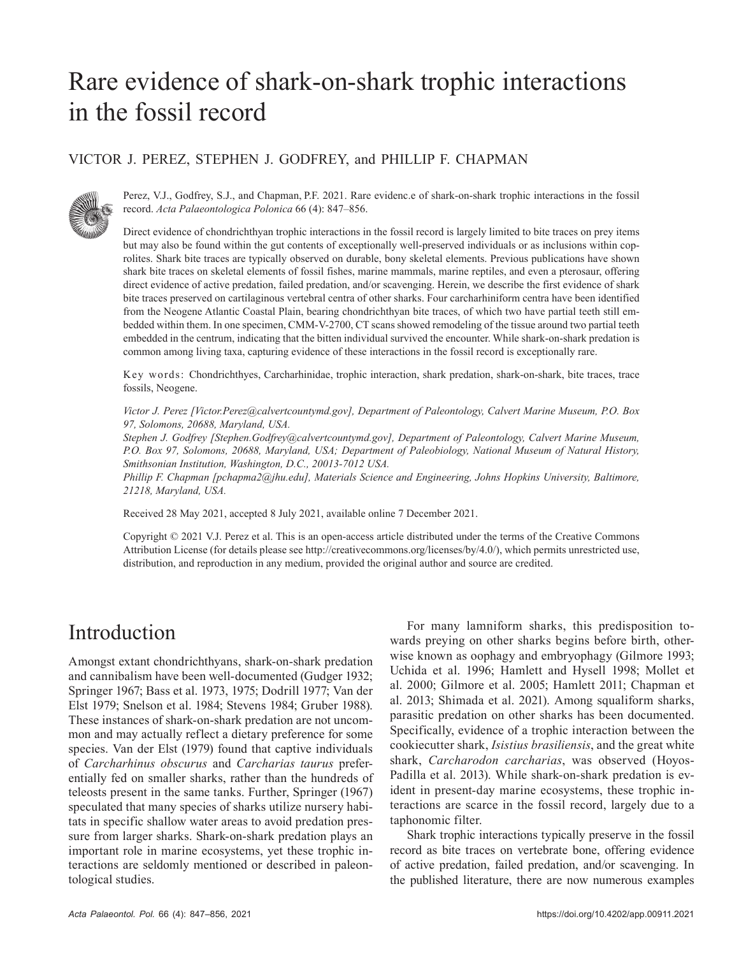# Rare evidence of shark-on-shark trophic interactions in the fossil record

#### VICTOR J. PEREZ, STEPHEN J. GODFREY, and PHILLIP F. CHAPMAN



Perez, V.J., Godfrey, S.J., and Chapman, P.F. 2021. Rare evidenc.e of shark-on-shark trophic interactions in the fossil record. *Acta Palaeontologica Polonica* 66 (4): 847–856.

Direct evidence of chondrichthyan trophic interactions in the fossil record is largely limited to bite traces on prey items but may also be found within the gut contents of exceptionally well-preserved individuals or as inclusions within coprolites. Shark bite traces are typically observed on durable, bony skeletal elements. Previous publications have shown shark bite traces on skeletal elements of fossil fishes, marine mammals, marine reptiles, and even a pterosaur, offering direct evidence of active predation, failed predation, and/or scavenging. Herein, we describe the first evidence of shark bite traces preserved on cartilaginous vertebral centra of other sharks. Four carcharhiniform centra have been identified from the Neogene Atlantic Coastal Plain, bearing chondrichthyan bite traces, of which two have partial teeth still embedded within them. In one specimen, CMM-V-2700, CT scans showed remodeling of the tissue around two partial teeth embedded in the centrum, indicating that the bitten individual survived the encounter. While shark-on-shark predation is common among living taxa, capturing evidence of these interactions in the fossil record is exceptionally rare.

Key words: Chondrichthyes, Carcharhinidae, trophic interaction, shark predation, shark-on-shark, bite traces, trace fossils, Neogene.

*Victor J. Perez [Victor.Perez@calvertcountymd.gov], Department of Paleontology, Calvert Marine Museum, P.O. Box 97, Solomons, 20688, Maryland, USA.*

*Stephen J. Godfrey [Stephen.Godfrey@calvertcountymd.gov], Department of Paleontology, Calvert Marine Museum, P.O. Box 97, Solomons, 20688, Maryland, USA; Department of Paleobiology, National Museum of Natural History, Smithsonian Institution, Washington, D.C., 20013-7012 USA.*

*Phillip F. Chapman [pchapma2@jhu.edu], Materials Science and Engineering, Johns Hopkins University, Baltimore, 21218, Maryland, USA.*

Received 28 May 2021, accepted 8 July 2021, available online 7 December 2021.

Copyright © 2021 V.J. Perez et al. This is an open-access article distributed under the terms of the Creative Commons Attribution License (for details please see http://creativecommons.org/licenses/by/4.0/), which permits unrestricted use, distribution, and reproduction in any medium, provided the original author and source are credited.

# Introduction

Amongst extant chondrichthyans, shark-on-shark predation and cannibalism have been well-documented (Gudger 1932; Springer 1967; Bass et al. 1973, 1975; Dodrill 1977; Van der Elst 1979; Snelson et al. 1984; Stevens 1984; Gruber 1988). These instances of shark-on-shark predation are not uncommon and may actually reflect a dietary preference for some species. Van der Elst (1979) found that captive individuals of *Carcharhinus obscurus* and *Carcharias taurus* preferentially fed on smaller sharks, rather than the hundreds of teleosts present in the same tanks. Further, Springer (1967) speculated that many species of sharks utilize nursery habitats in specific shallow water areas to avoid predation pressure from larger sharks. Shark-on-shark predation plays an important role in marine ecosystems, yet these trophic interactions are seldomly mentioned or described in paleontological studies.

For many lamniform sharks, this predisposition towards preying on other sharks begins before birth, otherwise known as oophagy and embryophagy (Gilmore 1993; Uchida et al. 1996; Hamlett and Hysell 1998; Mollet et al. 2000; Gilmore et al. 2005; Hamlett 2011; Chapman et al. 2013; Shimada et al. 2021). Among squaliform sharks, parasitic predation on other sharks has been documented. Specifically, evidence of a trophic interaction between the cookiecutter shark, *Isistius brasiliensis*, and the great white shark, *Carcharodon carcharias*, was observed (Hoyos-Padilla et al. 2013). While shark-on-shark predation is evident in present-day marine ecosystems, these trophic interactions are scarce in the fossil record, largely due to a taphonomic filter.

Shark trophic interactions typically preserve in the fossil record as bite traces on vertebrate bone, offering evidence of active predation, failed predation, and/or scavenging. In the published literature, there are now numerous examples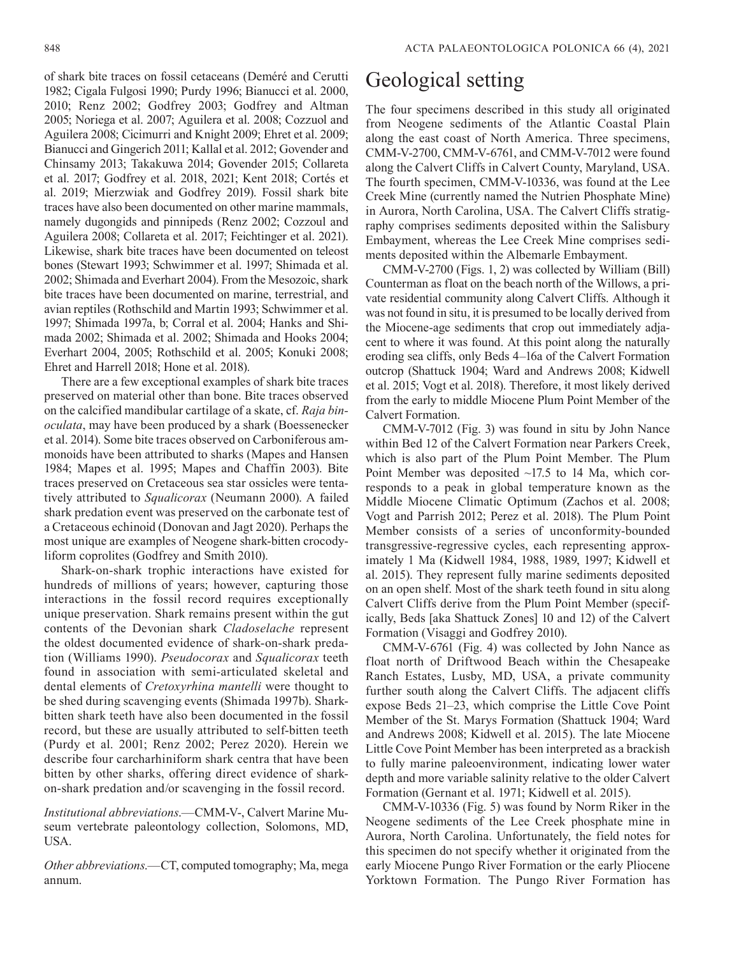of shark bite traces on fossil cetaceans (Deméré and Cerutti 1982; Cigala Fulgosi 1990; Purdy 1996; Bianucci et al. 2000, 2010; Renz 2002; Godfrey 2003; Godfrey and Altman 2005; Noriega et al. 2007; Aguilera et al. 2008; Cozzuol and Aguilera 2008; Cicimurri and Knight 2009; Ehret et al. 2009; Bianucci and Gingerich 2011; Kallal et al. 2012; Govender and Chinsamy 2013; Takakuwa 2014; Govender 2015; Collareta et al. 2017; Godfrey et al. 2018, 2021; Kent 2018; Cortés et al. 2019; Mierzwiak and Godfrey 2019). Fossil shark bite traces have also been documented on other marine mammals, namely dugongids and pinnipeds (Renz 2002; Cozzoul and Aguilera 2008; Collareta et al. 2017; Feichtinger et al. 2021). Likewise, shark bite traces have been documented on teleost bones (Stewart 1993; Schwimmer et al. 1997; Shimada et al. 2002; Shimada and Everhart 2004). From the Mesozoic, shark bite traces have been documented on marine, terrestrial, and avian reptiles (Rothschild and Martin 1993; Schwimmer et al. 1997; Shimada 1997a, b; Corral et al. 2004; Hanks and Shimada 2002; Shimada et al. 2002; Shimada and Hooks 2004; Everhart 2004, 2005; Rothschild et al. 2005; Konuki 2008; Ehret and Harrell 2018; Hone et al. 2018).

There are a few exceptional examples of shark bite traces preserved on material other than bone. Bite traces observed on the calcified mandibular cartilage of a skate, cf. *Raja binoculata*, may have been produced by a shark (Boessenecker et al. 2014). Some bite traces observed on Carboniferous ammonoids have been attributed to sharks (Mapes and Hansen 1984; Mapes et al. 1995; Mapes and Chaffin 2003). Bite traces preserved on Cretaceous sea star ossicles were tentatively attributed to *Squalicorax* (Neumann 2000). A failed shark predation event was preserved on the carbonate test of a Cretaceous echinoid (Donovan and Jagt 2020). Perhaps the most unique are examples of Neogene shark-bitten crocodyliform coprolites (Godfrey and Smith 2010).

Shark-on-shark trophic interactions have existed for hundreds of millions of years; however, capturing those interactions in the fossil record requires exceptionally unique preservation. Shark remains present within the gut contents of the Devonian shark *Cladoselache* represent the oldest documented evidence of shark-on-shark predation (Williams 1990). *Pseudocorax* and *Squalicorax* teeth found in association with semi-articulated skeletal and dental elements of *Cretoxyrhina mantelli* were thought to be shed during scavenging events (Shimada 1997b). Sharkbitten shark teeth have also been documented in the fossil record, but these are usually attributed to self-bitten teeth (Purdy et al. 2001; Renz 2002; Perez 2020). Herein we describe four carcharhiniform shark centra that have been bitten by other sharks, offering direct evidence of sharkon-shark predation and/or scavenging in the fossil record.

*Institutional abbreviations*.—CMM-V-, Calvert Marine Museum vertebrate paleontology collection, Solomons, MD, USA.

*Other abbreviations*.—CT, computed tomography; Ma, mega annum.

# Geological setting

The four specimens described in this study all originated from Neogene sediments of the Atlantic Coastal Plain along the east coast of North America. Three specimens, CMM-V-2700, CMM-V-6761, and CMM-V-7012 were found along the Calvert Cliffs in Calvert County, Maryland, USA. The fourth specimen, CMM-V-10336, was found at the Lee Creek Mine (currently named the Nutrien Phosphate Mine) in Aurora, North Carolina, USA. The Calvert Cliffs stratigraphy comprises sediments deposited within the Salisbury Embayment, whereas the Lee Creek Mine comprises sediments deposited within the Albemarle Embayment.

CMM-V-2700 (Figs. 1, 2) was collected by William (Bill) Counterman as float on the beach north of the Willows, a private residential community along Calvert Cliffs. Although it was not found in situ, it is presumed to be locally derived from the Miocene-age sediments that crop out immediately adjacent to where it was found. At this point along the naturally eroding sea cliffs, only Beds 4–16a of the Calvert Formation outcrop (Shattuck 1904; Ward and Andrews 2008; Kidwell et al. 2015; Vogt et al. 2018). Therefore, it most likely derived from the early to middle Miocene Plum Point Member of the Calvert Formation.

CMM-V-7012 (Fig. 3) was found in situ by John Nance within Bed 12 of the Calvert Formation near Parkers Creek, which is also part of the Plum Point Member. The Plum Point Member was deposited  $\sim$ 17.5 to 14 Ma, which corresponds to a peak in global temperature known as the Middle Miocene Climatic Optimum (Zachos et al. 2008; Vogt and Parrish 2012; Perez et al. 2018). The Plum Point Member consists of a series of unconformity-bounded transgressive-regressive cycles, each representing approximately 1 Ma (Kidwell 1984, 1988, 1989, 1997; Kidwell et al. 2015). They represent fully marine sediments deposited on an open shelf. Most of the shark teeth found in situ along Calvert Cliffs derive from the Plum Point Member (specifically, Beds [aka Shattuck Zones] 10 and 12) of the Calvert Formation (Visaggi and Godfrey 2010).

CMM-V-6761 (Fig. 4) was collected by John Nance as float north of Driftwood Beach within the Chesapeake Ranch Estates, Lusby, MD, USA, a private community further south along the Calvert Cliffs. The adjacent cliffs expose Beds 21–23, which comprise the Little Cove Point Member of the St. Marys Formation (Shattuck 1904; Ward and Andrews 2008; Kidwell et al. 2015). The late Miocene Little Cove Point Member has been interpreted as a brackish to fully marine paleoenvironment, indicating lower water depth and more variable salinity relative to the older Calvert Formation (Gernant et al. 1971; Kidwell et al. 2015).

CMM-V-10336 (Fig. 5) was found by Norm Riker in the Neogene sediments of the Lee Creek phosphate mine in Aurora, North Carolina. Unfortunately, the field notes for this specimen do not specify whether it originated from the early Miocene Pungo River Formation or the early Pliocene Yorktown Formation. The Pungo River Formation has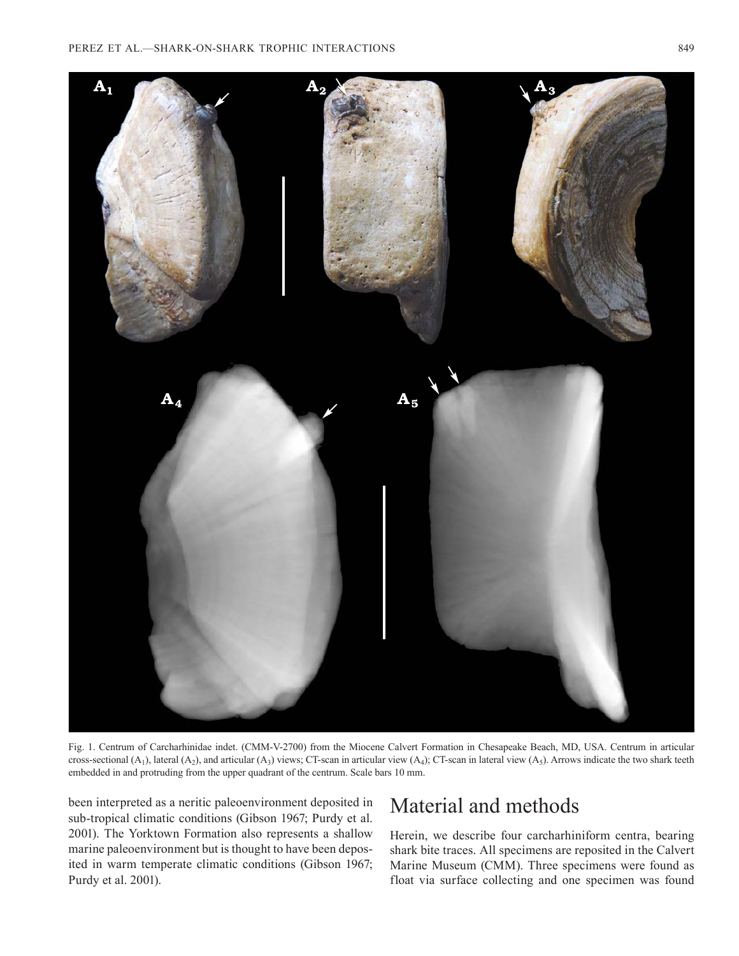

Fig. 1. Centrum of Carcharhinidae indet. (CMM-V-2700) from the Miocene Calvert Formation in Chesapeake Beach, MD, USA. Centrum in articular cross-sectional  $(A_1)$ , lateral  $(A_2)$ , and articular  $(A_3)$  views; CT-scan in articular view  $(A_4)$ ; CT-scan in lateral view  $(A_5)$ . Arrows indicate the two shark teeth embedded in and protruding from the upper quadrant of the centrum. Scale bars 10 mm.

been interpreted as a neritic paleoenvironment deposited in sub-tropical climatic conditions (Gibson 1967; Purdy et al. 2001). The Yorktown Formation also represents a shallow marine paleoenvironment but is thought to have been deposited in warm temperate climatic conditions (Gibson 1967; Purdy et al. 2001).

# Material and methods

Herein, we describe four carcharhiniform centra, bearing shark bite traces. All specimens are reposited in the Calvert Marine Museum (CMM). Three specimens were found as float via surface collecting and one specimen was found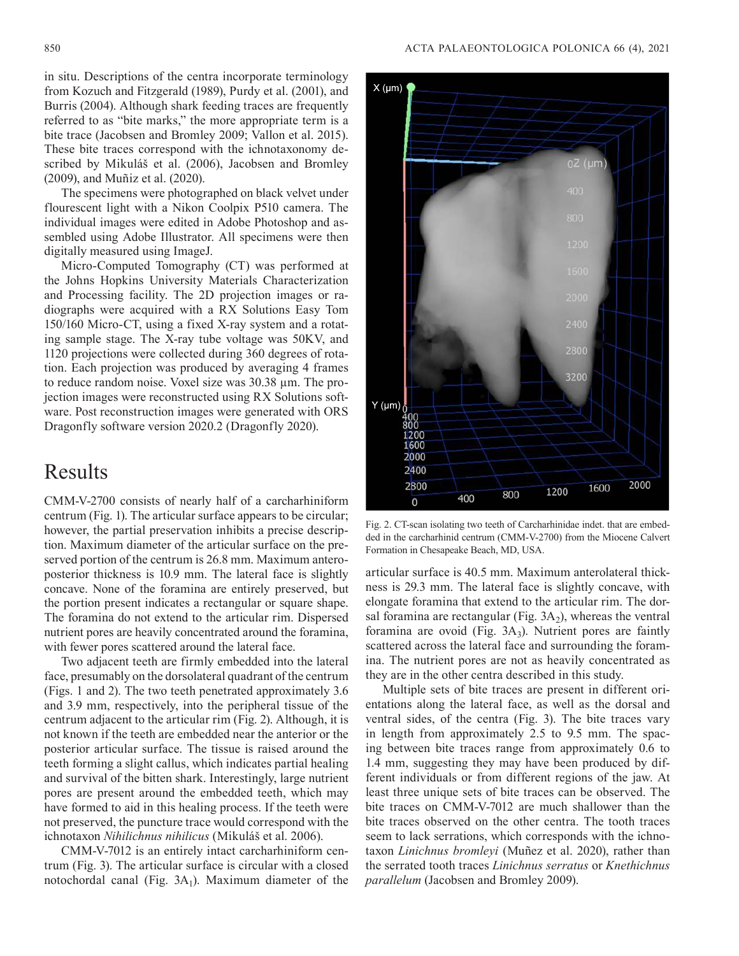in situ. Descriptions of the centra incorporate terminology from Kozuch and Fitzgerald (1989), Purdy et al. (2001), and Burris (2004). Although shark feeding traces are frequently referred to as "bite marks," the more appropriate term is a bite trace (Jacobsen and Bromley 2009; Vallon et al. 2015). These bite traces correspond with the ichnotaxonomy described by Mikuláš et al. (2006), Jacobsen and Bromley (2009), and Muñiz et al. (2020).

The specimens were photographed on black velvet under flourescent light with a Nikon Coolpix P510 camera. The individual images were edited in Adobe Photoshop and assembled using Adobe Illustrator. All specimens were then digitally measured using ImageJ.

Micro-Computed Tomography (CT) was performed at the Johns Hopkins University Materials Characterization and Processing facility. The 2D projection images or radiographs were acquired with a RX Solutions Easy Tom 150/160 Micro-CT, using a fixed X-ray system and a rotating sample stage. The X-ray tube voltage was 50KV, and 1120 projections were collected during 360 degrees of rotation. Each projection was produced by averaging 4 frames to reduce random noise. Voxel size was 30.38 µm. The projection images were reconstructed using RX Solutions software. Post reconstruction images were generated with ORS Dragonfly software version 2020.2 (Dragonfly 2020).

### Results

CMM-V-2700 consists of nearly half of a carcharhiniform centrum (Fig. 1). The articular surface appears to be circular; however, the partial preservation inhibits a precise description. Maximum diameter of the articular surface on the preserved portion of the centrum is 26.8 mm. Maximum anteroposterior thickness is 10.9 mm. The lateral face is slightly concave. None of the foramina are entirely preserved, but the portion present indicates a rectangular or square shape. The foramina do not extend to the articular rim. Dispersed nutrient pores are heavily concentrated around the foramina, with fewer pores scattered around the lateral face.

Two adjacent teeth are firmly embedded into the lateral face, presumably on the dorsolateral quadrant of the centrum (Figs. 1 and 2). The two teeth penetrated approximately 3.6 and 3.9 mm, respectively, into the peripheral tissue of the centrum adjacent to the articular rim (Fig. 2). Although, it is not known if the teeth are embedded near the anterior or the posterior articular surface. The tissue is raised around the teeth forming a slight callus, which indicates partial healing and survival of the bitten shark. Interestingly, large nutrient pores are present around the embedded teeth, which may have formed to aid in this healing process. If the teeth were not preserved, the puncture trace would correspond with the ichnotaxon *Nihilichnus nihilicus* (Mikuláš et al. 2006).

CMM-V-7012 is an entirely intact carcharhiniform centrum (Fig. 3). The articular surface is circular with a closed notochordal canal (Fig.  $3A_1$ ). Maximum diameter of the



Fig. 2. CT-scan isolating two teeth of Carcharhinidae indet. that are embedded in the carcharhinid centrum (CMM-V-2700) from the Miocene Calvert Formation in Chesapeake Beach, MD, USA.

articular surface is 40.5 mm. Maximum anterolateral thickness is 29.3 mm. The lateral face is slightly concave, with elongate foramina that extend to the articular rim. The dorsal foramina are rectangular (Fig.  $3A_2$ ), whereas the ventral foramina are ovoid (Fig. 3A<sub>3</sub>). Nutrient pores are faintly scattered across the lateral face and surrounding the foramina. The nutrient pores are not as heavily concentrated as they are in the other centra described in this study.

Multiple sets of bite traces are present in different orientations along the lateral face, as well as the dorsal and ventral sides, of the centra (Fig. 3). The bite traces vary in length from approximately 2.5 to 9.5 mm. The spacing between bite traces range from approximately 0.6 to 1.4 mm, suggesting they may have been produced by different individuals or from different regions of the jaw. At least three unique sets of bite traces can be observed. The bite traces on CMM-V-7012 are much shallower than the bite traces observed on the other centra. The tooth traces seem to lack serrations, which corresponds with the ichnotaxon *Linichnus bromleyi* (Muñez et al. 2020), rather than the serrated tooth traces *Linichnus serratus* or *Knethichnus parallelum* (Jacobsen and Bromley 2009).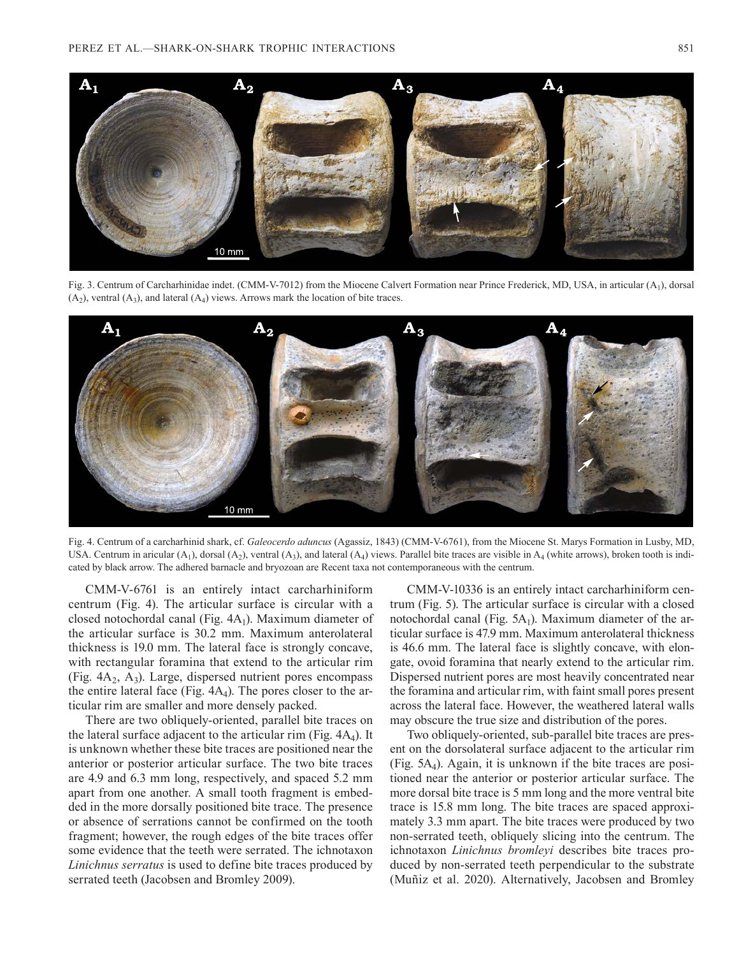

Fig. 3. Centrum of Carcharhinidae indet. (CMM-V-7012) from the Miocene Calvert Formation near Prince Frederick, MD, USA, in articular (A1), dorsal  $(A_2)$ , ventral  $(A_3)$ , and lateral  $(A_4)$  views. Arrows mark the location of bite traces.



Fig. 4. Centrum of a carcharhinid shark, cf. *Galeocerdo aduncus* (Agassiz, 1843) (CMM-V-6761), from the Miocene St. Marys Formation in Lusby, MD, USA. Centrum in aricular  $(A_1)$ , dorsal  $(A_2)$ , ventral  $(A_3)$ , and lateral  $(A_4)$  views. Parallel bite traces are visible in  $A_4$  (white arrows), broken tooth is indicated by black arrow. The adhered barnacle and bryozoan are Recent taxa not contemporaneous with the centrum.

CMM-V-6761 is an entirely intact carcharhiniform centrum (Fig. 4). The articular surface is circular with a closed notochordal canal (Fig.  $4A<sub>1</sub>$ ). Maximum diameter of the articular surface is 30.2 mm. Maximum anterolateral thickness is 19.0 mm. The lateral face is strongly concave, with rectangular foramina that extend to the articular rim (Fig.  $4A_2$ ,  $A_3$ ). Large, dispersed nutrient pores encompass the entire lateral face (Fig.  $4A<sub>4</sub>$ ). The pores closer to the articular rim are smaller and more densely packed.

There are two obliquely-oriented, parallel bite traces on the lateral surface adjacent to the articular rim (Fig.  $4A<sub>4</sub>$ ). It is unknown whether these bite traces are positioned near the anterior or posterior articular surface. The two bite traces are 4.9 and 6.3 mm long, respectively, and spaced 5.2 mm apart from one another. A small tooth fragment is embedded in the more dorsally positioned bite trace. The presence or absence of serrations cannot be confirmed on the tooth fragment; however, the rough edges of the bite traces offer some evidence that the teeth were serrated. The ichnotaxon *Linichnus serratus* is used to define bite traces produced by serrated teeth (Jacobsen and Bromley 2009).

CMM-V-10336 is an entirely intact carcharhiniform centrum (Fig. 5). The articular surface is circular with a closed notochordal canal (Fig.  $5A_1$ ). Maximum diameter of the articular surface is 47.9 mm. Maximum anterolateral thickness is 46.6 mm. The lateral face is slightly concave, with elongate, ovoid foramina that nearly extend to the articular rim. Dispersed nutrient pores are most heavily concentrated near the foramina and articular rim, with faint small pores present across the lateral face. However, the weathered lateral walls may obscure the true size and distribution of the pores.

Two obliquely-oriented, sub-parallel bite traces are present on the dorsolateral surface adjacent to the articular rim (Fig. 5A4). Again, it is unknown if the bite traces are positioned near the anterior or posterior articular surface. The more dorsal bite trace is 5 mm long and the more ventral bite trace is 15.8 mm long. The bite traces are spaced approximately 3.3 mm apart. The bite traces were produced by two non-serrated teeth, obliquely slicing into the centrum. The ichnotaxon *Linichnus bromleyi* describes bite traces produced by non-serrated teeth perpendicular to the substrate (Muñiz et al. 2020). Alternatively, Jacobsen and Bromley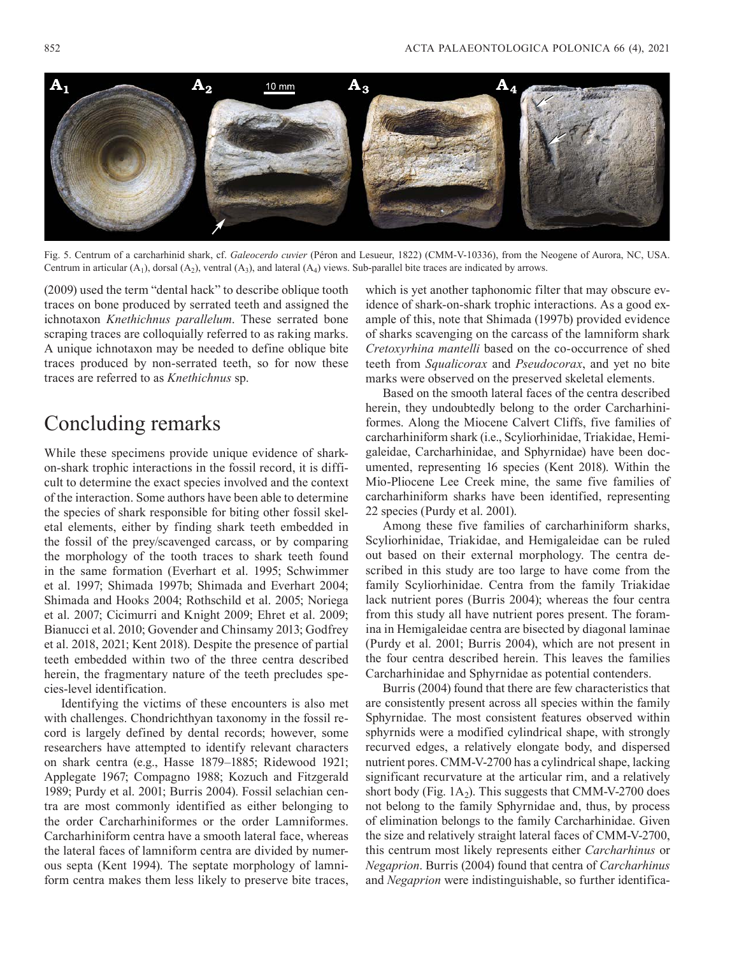

Fig. 5. Centrum of a carcharhinid shark, cf. *Galeocerdo cuvier* (Péron and Lesueur, 1822) (CMM-V-10336), from the Neogene of Aurora, NC, USA. Centrum in articular  $(A_1)$ , dorsal  $(A_2)$ , ventral  $(A_3)$ , and lateral  $(A_4)$  views. Sub-parallel bite traces are indicated by arrows.

(2009) used the term "dental hack" to describe oblique tooth traces on bone produced by serrated teeth and assigned the ichnotaxon *Knethichnus parallelum*. These serrated bone scraping traces are colloquially referred to as raking marks. A unique ichnotaxon may be needed to define oblique bite traces produced by non-serrated teeth, so for now these traces are referred to as *Knethichnus* sp.

### Concluding remarks

While these specimens provide unique evidence of sharkon-shark trophic interactions in the fossil record, it is difficult to determine the exact species involved and the context of the interaction. Some authors have been able to determine the species of shark responsible for biting other fossil skeletal elements, either by finding shark teeth embedded in the fossil of the prey/scavenged carcass, or by comparing the morphology of the tooth traces to shark teeth found in the same formation (Everhart et al. 1995; Schwimmer et al. 1997; Shimada 1997b; Shimada and Everhart 2004; Shimada and Hooks 2004; Rothschild et al. 2005; Noriega et al. 2007; Cicimurri and Knight 2009; Ehret et al. 2009; Bianucci et al. 2010; Govender and Chinsamy 2013; Godfrey et al. 2018, 2021; Kent 2018). Despite the presence of partial teeth embedded within two of the three centra described herein, the fragmentary nature of the teeth precludes species-level identification.

Identifying the victims of these encounters is also met with challenges. Chondrichthyan taxonomy in the fossil record is largely defined by dental records; however, some researchers have attempted to identify relevant characters on shark centra (e.g., Hasse 1879–1885; Ridewood 1921; Applegate 1967; Compagno 1988; Kozuch and Fitzgerald 1989; Purdy et al. 2001; Burris 2004). Fossil selachian centra are most commonly identified as either belonging to the order Carcharhiniformes or the order Lamniformes. Carcharhiniform centra have a smooth lateral face, whereas the lateral faces of lamniform centra are divided by numerous septa (Kent 1994). The septate morphology of lamniform centra makes them less likely to preserve bite traces,

which is yet another taphonomic filter that may obscure evidence of shark-on-shark trophic interactions. As a good example of this, note that Shimada (1997b) provided evidence of sharks scavenging on the carcass of the lamniform shark *Cretoxyrhina mantelli* based on the co-occurrence of shed teeth from *Squalicorax* and *Pseudocorax*, and yet no bite marks were observed on the preserved skeletal elements.

Based on the smooth lateral faces of the centra described herein, they undoubtedly belong to the order Carcharhiniformes. Along the Miocene Calvert Cliffs, five families of carcharhiniform shark (i.e., Scyliorhinidae, Triakidae, Hemigaleidae, Carcharhinidae, and Sphyrnidae) have been documented, representing 16 species (Kent 2018). Within the Mio-Pliocene Lee Creek mine, the same five families of carcharhiniform sharks have been identified, representing 22 species (Purdy et al. 2001).

Among these five families of carcharhiniform sharks, Scyliorhinidae, Triakidae, and Hemigaleidae can be ruled out based on their external morphology. The centra described in this study are too large to have come from the family Scyliorhinidae. Centra from the family Triakidae lack nutrient pores (Burris 2004); whereas the four centra from this study all have nutrient pores present. The foramina in Hemigaleidae centra are bisected by diagonal laminae (Purdy et al. 2001; Burris 2004), which are not present in the four centra described herein. This leaves the families Carcharhinidae and Sphyrnidae as potential contenders.

Burris (2004) found that there are few characteristics that are consistently present across all species within the family Sphyrnidae. The most consistent features observed within sphyrnids were a modified cylindrical shape, with strongly recurved edges, a relatively elongate body, and dispersed nutrient pores. CMM-V-2700 has a cylindrical shape, lacking significant recurvature at the articular rim, and a relatively short body (Fig.  $1A_2$ ). This suggests that CMM-V-2700 does not belong to the family Sphyrnidae and, thus, by process of elimination belongs to the family Carcharhinidae. Given the size and relatively straight lateral faces of CMM-V-2700, this centrum most likely represents either *Carcharhinus* or *Negaprion*. Burris (2004) found that centra of *Carcharhinus*  and *Negaprion* were indistinguishable, so further identifica-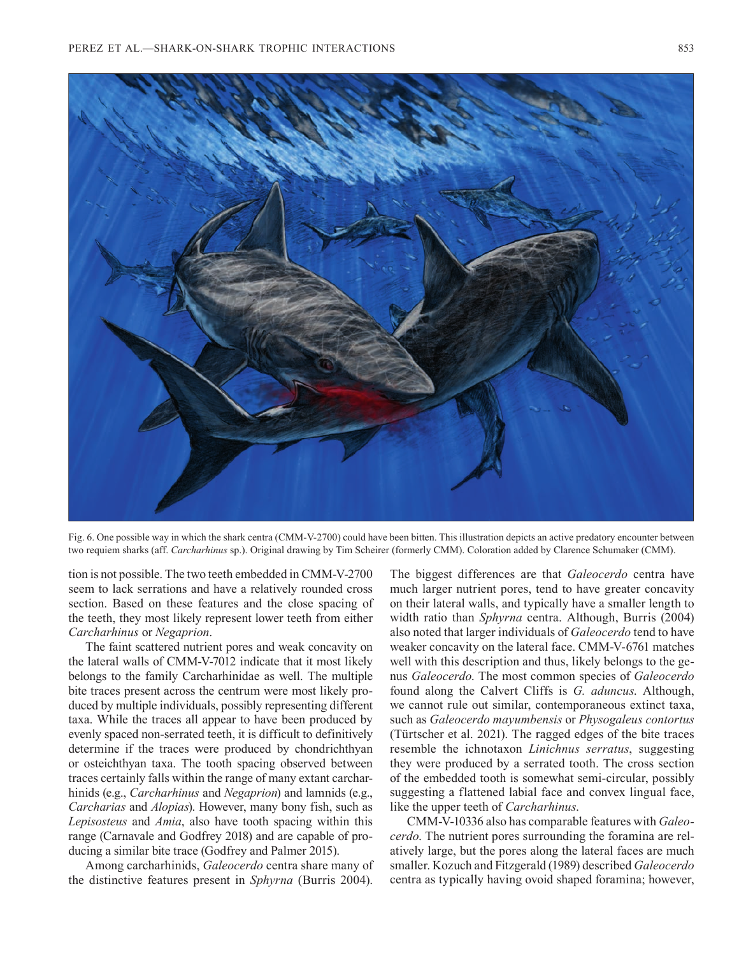

Fig. 6. One possible way in which the shark centra (CMM-V-2700) could have been bitten. This illustration depicts an active predatory encounter between two requiem sharks (aff. *Carcharhinus* sp.). Original drawing by Tim Scheirer (formerly CMM). Coloration added by Clarence Schumaker (CMM).

tion is not possible. The two teeth embedded in CMM-V-2700 seem to lack serrations and have a relatively rounded cross section. Based on these features and the close spacing of the teeth, they most likely represent lower teeth from either *Carcharhinus* or *Negaprion*.

The faint scattered nutrient pores and weak concavity on the lateral walls of CMM-V-7012 indicate that it most likely belongs to the family Carcharhinidae as well. The multiple bite traces present across the centrum were most likely produced by multiple individuals, possibly representing different taxa. While the traces all appear to have been produced by evenly spaced non-serrated teeth, it is difficult to definitively determine if the traces were produced by chondrichthyan or osteichthyan taxa. The tooth spacing observed between traces certainly falls within the range of many extant carcharhinids (e.g., *Carcharhinus* and *Negaprion*) and lamnids (e.g., *Carcharias* and *Alopias*). However, many bony fish, such as *Lepisosteus* and *Amia*, also have tooth spacing within this range (Carnavale and Godfrey 2018) and are capable of producing a similar bite trace (Godfrey and Palmer 2015).

Among carcharhinids, *Galeocerdo* centra share many of the distinctive features present in *Sphyrna* (Burris 2004).

The biggest differences are that *Galeocerdo* centra have much larger nutrient pores, tend to have greater concavity on their lateral walls, and typically have a smaller length to width ratio than *Sphyrna* centra. Although, Burris (2004) also noted that larger individuals of *Galeocerdo* tend to have weaker concavity on the lateral face. CMM-V-6761 matches well with this description and thus, likely belongs to the genus *Galeocerdo*. The most common species of *Galeocerdo*  found along the Calvert Cliffs is *G. aduncus*. Although, we cannot rule out similar, contemporaneous extinct taxa, such as *Galeocerdo mayumbensis* or *Physogaleus contortus*  (Türtscher et al. 2021). The ragged edges of the bite traces resemble the ichnotaxon *Linichnus serratus*, suggesting they were produced by a serrated tooth. The cross section of the embedded tooth is somewhat semi-circular, possibly suggesting a flattened labial face and convex lingual face, like the upper teeth of *Carcharhinus*.

CMM-V-10336 also has comparable features with *Galeocerdo*. The nutrient pores surrounding the foramina are relatively large, but the pores along the lateral faces are much smaller. Kozuch and Fitzgerald (1989) described *Galeocerdo*  centra as typically having ovoid shaped foramina; however,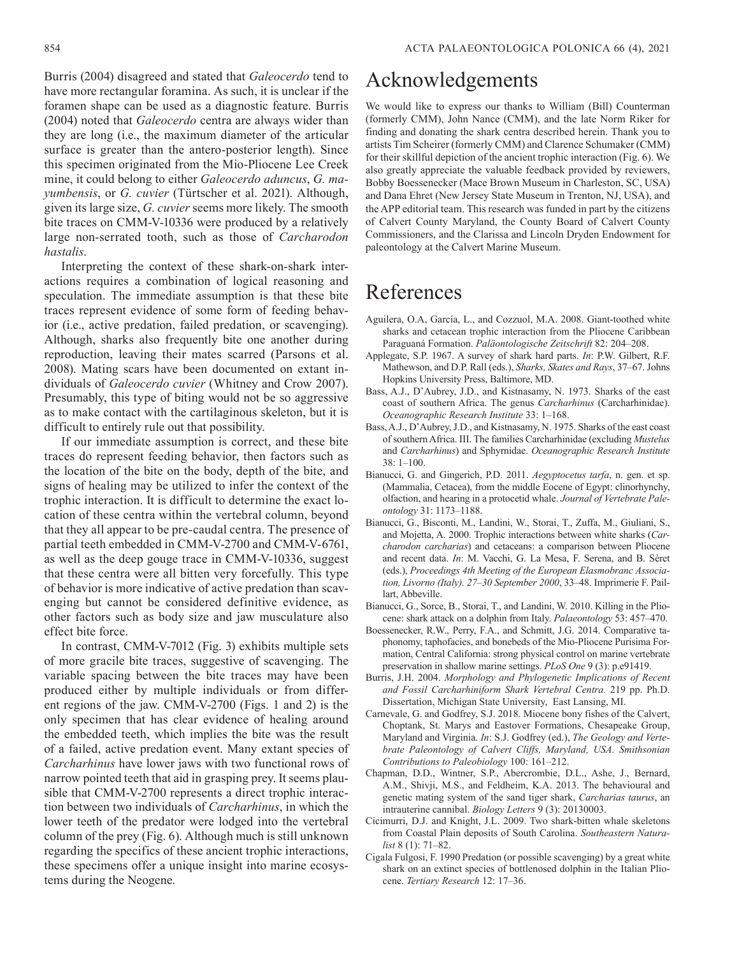Burris (2004) disagreed and stated that *Galeocerdo* tend to have more rectangular foramina. As such, it is unclear if the foramen shape can be used as a diagnostic feature. Burris (2004) noted that *Galeocerdo* centra are always wider than they are long (i.e., the maximum diameter of the articular surface is greater than the antero-posterior length). Since this specimen originated from the Mio-Pliocene Lee Creek mine, it could belong to either *Galeocerdo aduncus*, *G. mayumbensis*, or *G. cuvier* (Türtscher et al. 2021). Although, given its large size, *G. cuvier* seems more likely. The smooth bite traces on CMM-V-10336 were produced by a relatively large non-serrated tooth, such as those of *Carcharodon hastalis*.

Interpreting the context of these shark-on-shark interactions requires a combination of logical reasoning and speculation. The immediate assumption is that these bite traces represent evidence of some form of feeding behavior (i.e., active predation, failed predation, or scavenging). Although, sharks also frequently bite one another during reproduction, leaving their mates scarred (Parsons et al. 2008). Mating scars have been documented on extant individuals of *Galeocerdo cuvier* (Whitney and Crow 2007). Presumably, this type of biting would not be so aggressive as to make contact with the cartilaginous skeleton, but it is difficult to entirely rule out that possibility.

If our immediate assumption is correct, and these bite traces do represent feeding behavior, then factors such as the location of the bite on the body, depth of the bite, and signs of healing may be utilized to infer the context of the trophic interaction. It is difficult to determine the exact location of these centra within the vertebral column, beyond that they all appear to be pre-caudal centra. The presence of partial teeth embedded in CMM-V-2700 and CMM-V-6761, as well as the deep gouge trace in CMM-V-10336, suggest that these centra were all bitten very forcefully. This type of behavior is more indicative of active predation than scavenging but cannot be considered definitive evidence, as other factors such as body size and jaw musculature also effect bite force.

In contrast, CMM-V-7012 (Fig. 3) exhibits multiple sets of more gracile bite traces, suggestive of scavenging. The variable spacing between the bite traces may have been produced either by multiple individuals or from different regions of the jaw. CMM-V-2700 (Figs. 1 and 2) is the only specimen that has clear evidence of healing around the embedded teeth, which implies the bite was the result of a failed, active predation event. Many extant species of *Carcharhinus* have lower jaws with two functional rows of narrow pointed teeth that aid in grasping prey. It seems plausible that CMM-V-2700 represents a direct trophic interaction between two individuals of *Carcharhinus*, in which the lower teeth of the predator were lodged into the vertebral column of the prey (Fig. 6). Although much is still unknown regarding the specifics of these ancient trophic interactions, these specimens offer a unique insight into marine ecosystems during the Neogene.

### Acknowledgements

We would like to express our thanks to William (Bill) Counterman (formerly CMM), John Nance (CMM), and the late Norm Riker for finding and donating the shark centra described herein. Thank you to artists Tim Scheirer (formerly CMM) and Clarence Schumaker (CMM) for their skillful depiction of the ancient trophic interaction (Fig. 6). We also greatly appreciate the valuable feedback provided by reviewers, Bobby Boessenecker (Mace Brown Museum in Charleston, SC, USA) and Dana Ehret (New Jersey State Museum in Trenton, NJ, USA), and the APP editorial team. This research was funded in part by the citizens of Calvert County Maryland, the County Board of Calvert County Commissioners, and the Clarissa and Lincoln Dryden Endowment for paleontology at the Calvert Marine Museum.

## References

- Aguilera, O.A, García, L., and Cozzuol, M.A. 2008. Giant-toothed white sharks and cetacean trophic interaction from the Pliocene Caribbean Paraguaná Formation. *Paläontologische Zeitschrift* 82: 204–208.
- Applegate, S.P. 1967. A survey of shark hard parts. *In*: P.W. Gilbert, R.F. Mathewson, and D.P. Rall (eds.), *Sharks, Skates and Rays*, 37–67. Johns Hopkins University Press, Baltimore, MD.
- Bass, A.J., D'Aubrey, J.D., and Kistnasamy, N. 1973. Sharks of the east coast of southern Africa. The genus *Carcharhinus* (Carcharhinidae). *Oceanographic Research Institute* 33: 1–168.
- Bass, A.J., D'Aubrey, J.D., and Kistnasamy, N. 1975. Sharks of the east coast of southern Africa. III. The families Carcharhinidae (excluding *Mustelus* and *Carcharhinus*) and Sphyrnidae. *Oceanographic Research Institute*  $38: 1 - 100$ .
- Bianucci, G. and Gingerich, P.D. 2011. *Aegyptocetus tarfa*, n. gen. et sp. (Mammalia, Cetacea), from the middle Eocene of Egypt: clinorhynchy, olfaction, and hearing in a protocetid whale. *Journal of Vertebrate Paleontology* 31: 1173–1188.
- Bianucci, G., Bisconti, M., Landini, W., Storai, T., Zuffa, M., Giuliani, S., and Mojetta, A. 2000. Trophic interactions between white sharks (*Carcharodon carcharias*) and cetaceans: a comparison between Pliocene and recent data. *In*: M. Vacchi, G. La Mesa, F. Serena, and B. Sèret (eds.), *Proceedings 4th Meeting of the European Elasmobranc Association, Livorno (Italy). 27–30 September 2000*, 33–48. Imprimerie F. Paillart, Abbeville.
- Bianucci, G., Sorce, B., Storai, T., and Landini, W. 2010. Killing in the Pliocene: shark attack on a dolphin from Italy. *Palaeontology* 53: 457–470.
- Boessenecker, R.W., Perry, F.A., and Schmitt, J.G. 2014. Comparative taphonomy, taphofacies, and bonebeds of the Mio-Pliocene Purisima Formation, Central California: strong physical control on marine vertebrate preservation in shallow marine settings. *PLoS One* 9 (3): p.e91419.
- Burris, J.H. 2004. *Morphology and Phylogenetic Implications of Recent and Fossil Carcharhiniform Shark Vertebral Centra.* 219 pp. Ph.D. Dissertation, Michigan State University, East Lansing, MI.
- Carnevale, G. and Godfrey, S.J. 2018. Miocene bony fishes of the Calvert, Choptank, St. Marys and Eastover Formations, Chesapeake Group, Maryland and Virginia. *In*: S.J. Godfrey (ed.), *The Geology and Vertebrate Paleontology of Calvert Cliffs, Maryland, USA. Smithsonian Contributions to Paleobiology* 100: 161–212.
- Chapman, D.D., Wintner, S.P., Abercrombie, D.L., Ashe, J., Bernard, A.M., Shivji, M.S., and Feldheim, K.A. 2013. The behavioural and genetic mating system of the sand tiger shark, *Carcharias taurus*, an intrauterine cannibal. *Biology Letters* 9 (3): 20130003.
- Cicimurri, D.J. and Knight, J.L. 2009. Two shark-bitten whale skeletons from Coastal Plain deposits of South Carolina. *Southeastern Naturalist* 8 (1): 71–82.
- Cigala Fulgosi, F. 1990 Predation (or possible scavenging) by a great white shark on an extinct species of bottlenosed dolphin in the Italian Pliocene. *Tertiary Research* 12: 17–36.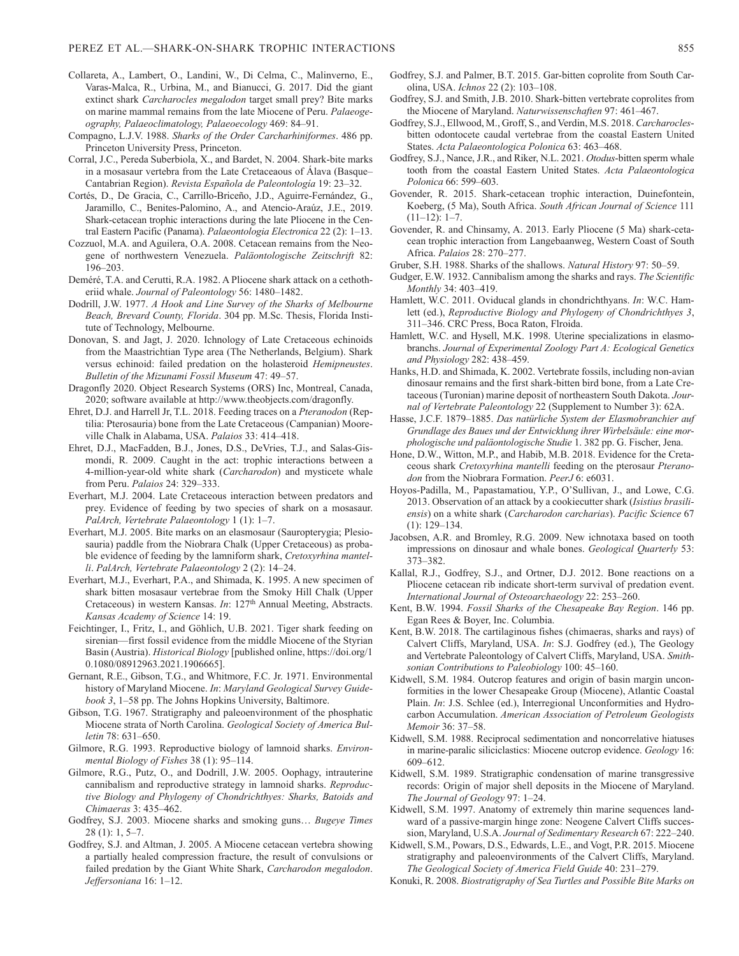- Collareta, A., Lambert, O., Landini, W., Di Celma, C., Malinverno, E., Varas-Malca, R., Urbina, M., and Bianucci, G. 2017. Did the giant extinct shark *Carcharocles megalodon* target small prey? Bite marks on marine mammal remains from the late Miocene of Peru. *Palaeogeography, Palaeoclimatology, Palaeoecology* 469: 84–91.
- Compagno, L.J.V. 1988. *Sharks of the Order Carcharhiniformes*. 486 pp. Princeton University Press, Princeton.
- Corral, J.C., Pereda Suberbiola, X., and Bardet, N. 2004. Shark-bite marks in a mosasaur vertebra from the Late Cretaceaous of Álava (Basque– Cantabrian Region). *Revista Española de Paleontología* 19: 23–32.
- Cortés, D., De Gracia, C., Carrillo-Briceño, J.D., Aguirre-Fernández, G., Jaramillo, C., Benites-Palomino, A., and Atencio-Araúz, J.E., 2019. Shark-cetacean trophic interactions during the late Pliocene in the Central Eastern Pacific (Panama). *Palaeontologia Electronica* 22 (2): 1–13.
- Cozzuol, M.A. and Aguilera, O.A. 2008. Cetacean remains from the Neogene of northwestern Venezuela. *Paläontologische Zeitschrift* 82: 196–203.
- Deméré, T.A. and Cerutti, R.A. 1982. A Pliocene shark attack on a cethotheriid whale. *Journal of Paleontology* 56: 1480–1482.
- Dodrill, J.W. 1977. *A Hook and Line Survey of the Sharks of Melbourne Beach, Brevard County, Florida*. 304 pp. M.Sc. Thesis, Florida Institute of Technology, Melbourne.
- Donovan, S. and Jagt, J. 2020. Ichnology of Late Cretaceous echinoids from the Maastrichtian Type area (The Netherlands, Belgium). Shark versus echinoid: failed predation on the holasteroid *Hemipneustes*. *Bulletin of the Mizunami Fossil Museum* 47: 49–57.
- Dragonfly 2020. Object Research Systems (ORS) Inc, Montreal, Canada, 2020; software available at http://www.theobjects.com/dragonfly.
- Ehret, D.J. and Harrell Jr, T.L. 2018. Feeding traces on a *Pteranodon* (Reptilia: Pterosauria) bone from the Late Cretaceous (Campanian) Mooreville Chalk in Alabama, USA. *Palaios* 33: 414–418.
- Ehret, D.J., MacFadden, B.J., Jones, D.S., DeVries, T.J., and Salas-Gismondi, R. 2009. Caught in the act: trophic interactions between a 4-million-year-old white shark (*Carcharodon*) and mysticete whale from Peru. *Palaios* 24: 329–333.
- Everhart, M.J. 2004. Late Cretaceous interaction between predators and prey. Evidence of feeding by two species of shark on a mosasaur. *PalArch, Vertebrate Palaeontology* 1 (1): 1–7.
- Everhart, M.J. 2005. Bite marks on an elasmosaur (Sauropterygia; Plesiosauria) paddle from the Niobrara Chalk (Upper Cretaceous) as probable evidence of feeding by the lamniform shark, *Cretoxyrhina mantelli*. *PalArch, Vertebrate Palaeontology* 2 (2): 14–24.
- Everhart, M.J., Everhart, P.A., and Shimada, K. 1995. A new specimen of shark bitten mosasaur vertebrae from the Smoky Hill Chalk (Upper Cretaceous) in western Kansas. *In*: 127<sup>th</sup> Annual Meeting, Abstracts. *Kansas Academy of Science* 14: 19.
- Feichtinger, I., Fritz, I., and Göhlich, U.B. 2021. Tiger shark feeding on sirenian—first fossil evidence from the middle Miocene of the Styrian Basin (Austria). *Historical Biology* [published online, https://doi.org/1 0.1080/08912963.2021.1906665].
- Gernant, R.E., Gibson, T.G., and Whitmore, F.C. Jr. 1971. Environmental history of Maryland Miocene. *In*: *Maryland Geological Survey Guidebook 3*, 1–58 pp. The Johns Hopkins University, Baltimore.
- Gibson, T.G. 1967. Stratigraphy and paleoenvironment of the phosphatic Miocene strata of North Carolina. *Geological Society of America Bulletin* 78: 631–650.
- Gilmore, R.G. 1993. Reproductive biology of lamnoid sharks. *Environmental Biology of Fishes* 38 (1): 95–114.
- Gilmore, R.G., Putz, O., and Dodrill, J.W. 2005. Oophagy, intrauterine cannibalism and reproductive strategy in lamnoid sharks. *Reproductive Biology and Phylogeny of Chondrichthyes: Sharks, Batoids and Chimaeras* 3: 435–462.
- Godfrey, S.J. 2003. Miocene sharks and smoking guns… *Bugeye Times* 28 (1): 1, 5–7.
- Godfrey, S.J. and Altman, J. 2005. A Miocene cetacean vertebra showing a partially healed compression fracture, the result of convulsions or failed predation by the Giant White Shark, *Carcharodon megalodon*. *Jeffersoniana* 16: 1–12.
- Godfrey, S.J. and Palmer, B.T. 2015. Gar-bitten coprolite from South Carolina, USA. *Ichnos* 22 (2): 103–108.
- Godfrey, S.J. and Smith, J.B. 2010. Shark-bitten vertebrate coprolites from the Miocene of Maryland. *Naturwissenschaften* 97: 461–467.
- Godfrey, S.J., Ellwood, M., Groff, S., and Verdin, M.S. 2018. *Carcharocles*bitten odontocete caudal vertebrae from the coastal Eastern United States. *Acta Palaeontologica Polonica* 63: 463–468.
- Godfrey, S.J., Nance, J.R., and Riker, N.L. 2021. *Otodus*-bitten sperm whale tooth from the coastal Eastern United States. *Acta Palaeontologica Polonica* 66: 599–603.
- Govender, R. 2015. Shark-cetacean trophic interaction, Duinefontein, Koeberg, (5 Ma), South Africa. *South African Journal of Science* 111  $(11-12): 1-7.$
- Govender, R. and Chinsamy, A. 2013. Early Pliocene (5 Ma) shark-cetacean trophic interaction from Langebaanweg, Western Coast of South Africa. *Palaios* 28: 270–277.
- Gruber, S.H. 1988. Sharks of the shallows. *Natural History* 97: 50–59.
- Gudger, E.W. 1932. Cannibalism among the sharks and rays. *The Scientific Monthly* 34: 403–419.
- Hamlett, W.C. 2011. Oviducal glands in chondrichthyans. *In*: W.C. Hamlett (ed.), *Reproductive Biology and Phylogeny of Chondrichthyes 3*, 311–346. CRC Press, Boca Raton, Flroida.
- Hamlett, W.C. and Hysell, M.K. 1998. Uterine specializations in elasmobranchs. *Journal of Experimental Zoology Part A: Ecological Genetics and Physiology* 282: 438–459.
- Hanks, H.D. and Shimada, K. 2002. Vertebrate fossils, including non-avian dinosaur remains and the first shark-bitten bird bone, from a Late Cretaceous (Turonian) marine deposit of northeastern South Dakota. *Journal of Vertebrate Paleontology* 22 (Supplement to Number 3): 62A.
- Hasse, J.C.F. 1879–1885. *Das natürliche System der Elasmobranchier auf Grundlage des Baues und der Entwicklung ihrer Wirbelsäule: eine morphologische und paläontologische Studie* 1. 382 pp. G. Fischer, Jena.
- Hone, D.W., Witton, M.P., and Habib, M.B. 2018. Evidence for the Cretaceous shark *Cretoxyrhina mantelli* feeding on the pterosaur *Pteranodon* from the Niobrara Formation. *PeerJ* 6: e6031.
- Hoyos-Padilla, M., Papastamatiou, Y.P., O'Sullivan, J., and Lowe, C.G. 2013. Observation of an attack by a cookiecutter shark (*Isistius brasiliensis*) on a white shark (*Carcharodon carcharias*). *Pacific Science* 67 (1): 129–134.
- Jacobsen, A.R. and Bromley, R.G. 2009. New ichnotaxa based on tooth impressions on dinosaur and whale bones. *Geological Quarterly* 53: 373–382.
- Kallal, R.J., Godfrey, S.J., and Ortner, D.J. 2012. Bone reactions on a Pliocene cetacean rib indicate short‐term survival of predation event. *International Journal of Osteoarchaeology* 22: 253–260.
- Kent, B.W. 1994. *Fossil Sharks of the Chesapeake Bay Region*. 146 pp. Egan Rees & Boyer, Inc. Columbia.
- Kent, B.W. 2018. The cartilaginous fishes (chimaeras, sharks and rays) of Calvert Cliffs, Maryland, USA. *In*: S.J. Godfrey (ed.), The Geology and Vertebrate Paleontology of Calvert Cliffs, Maryland, USA. *Smithsonian Contributions to Paleobiology* 100: 45–160.
- Kidwell, S.M. 1984. Outcrop features and origin of basin margin unconformities in the lower Chesapeake Group (Miocene), Atlantic Coastal Plain. *In*: J.S. Schlee (ed.), Interregional Unconformities and Hydrocarbon Accumulation. *American Association of Petroleum Geologists Memoir* 36: 37–58.
- Kidwell, S.M. 1988. Reciprocal sedimentation and noncorrelative hiatuses in marine-paralic siliciclastics: Miocene outcrop evidence. *Geology* 16: 609–612.
- Kidwell, S.M. 1989. Stratigraphic condensation of marine transgressive records: Origin of major shell deposits in the Miocene of Maryland. *The Journal of Geology* 97: 1–24.
- Kidwell, S.M. 1997. Anatomy of extremely thin marine sequences landward of a passive-margin hinge zone: Neogene Calvert Cliffs succession, Maryland, U.S.A. *Journal of Sedimentary Research* 67: 222–240.
- Kidwell, S.M., Powars, D.S., Edwards, L.E., and Vogt, P.R. 2015. Miocene stratigraphy and paleoenvironments of the Calvert Cliffs, Maryland. *The Geological Society of America Field Guide* 40: 231–279.
- Konuki, R. 2008. *Biostratigraphy of Sea Turtles and Possible Bite Marks on*